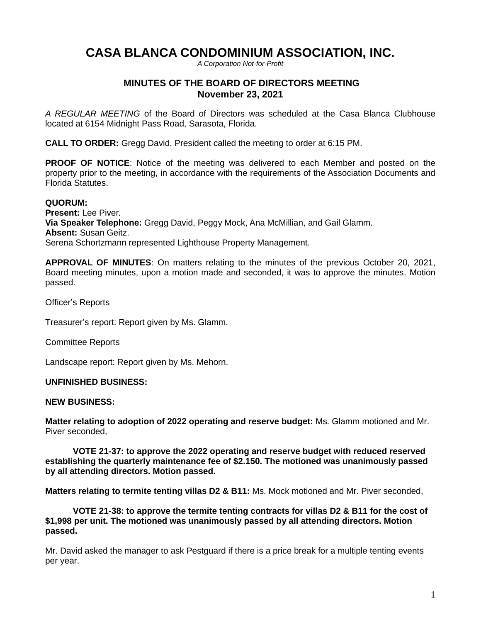# **CASA BLANCA CONDOMINIUM ASSOCIATION, INC.**

*A Corporation Not-for-Profit*

## **MINUTES OF THE BOARD OF DIRECTORS MEETING November 23, 2021**

*A REGULAR MEETING* of the Board of Directors was scheduled at the Casa Blanca Clubhouse located at 6154 Midnight Pass Road, Sarasota, Florida.

**CALL TO ORDER:** Gregg David, President called the meeting to order at 6:15 PM.

**PROOF OF NOTICE:** Notice of the meeting was delivered to each Member and posted on the property prior to the meeting, in accordance with the requirements of the Association Documents and Florida Statutes.

### **QUORUM:**

**Present:** Lee Piver. **Via Speaker Telephone:** Gregg David, Peggy Mock, Ana McMillian, and Gail Glamm. **Absent:** Susan Geitz. Serena Schortzmann represented Lighthouse Property Management.

**APPROVAL OF MINUTES**: On matters relating to the minutes of the previous October 20, 2021, Board meeting minutes, upon a motion made and seconded, it was to approve the minutes. Motion passed.

Officer's Reports

Treasurer's report: Report given by Ms. Glamm.

Committee Reports

Landscape report: Report given by Ms. Mehorn.

## **UNFINISHED BUSINESS:**

#### **NEW BUSINESS:**

**Matter relating to adoption of 2022 operating and reserve budget:** Ms. Glamm motioned and Mr. Piver seconded,

**VOTE 21-37: to approve the 2022 operating and reserve budget with reduced reserved establishing the quarterly maintenance fee of \$2.150. The motioned was unanimously passed by all attending directors. Motion passed.**

**Matters relating to termite tenting villas D2 & B11:** Ms. Mock motioned and Mr. Piver seconded,

**VOTE 21-38: to approve the termite tenting contracts for villas D2 & B11 for the cost of \$1,998 per unit. The motioned was unanimously passed by all attending directors. Motion passed.**

Mr. David asked the manager to ask Pestguard if there is a price break for a multiple tenting events per year.